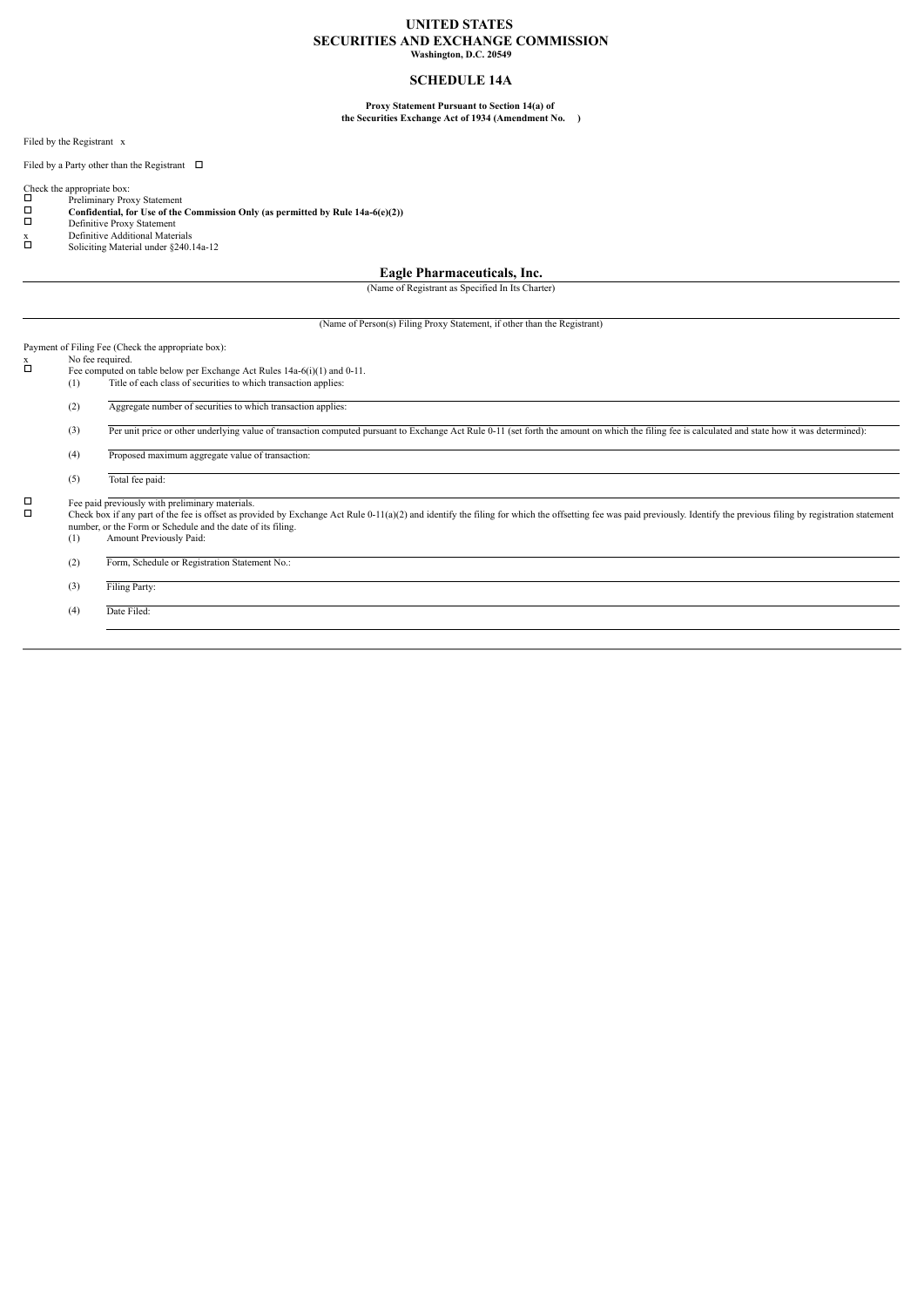#### **UNITED STATES SECURITIES AND EXCHANGE COMMISSION Washington, D.C. 20549**

#### **SCHEDULE 14A**

#### **Proxy Statement Pursuant to Section 14(a) of the Securities Exchange Act of 1934 (Amendment No. )**

Filed by the Registrant x

Filed by a Party other than the Registrant  $\Box$ 

- Check the appropriate box: Preliminary Proxy Statement **Confidential, for Use of the Commission Only (as permitted by Rule 14a-6(e)(2))**
- Definitive Proxy Statement
- 
- x Definitive Additional Materials <br>
Soliciting Material under §240.14a-12

#### **Eagle Pharmaceuticals, Inc.**

(Name of Registrant as Specified In Its Charter)

(Name of Person(s) Filing Proxy Statement, if other than the Registrant)

## Payment of Filing Fee (Check the appropriate box):<br>x No fee required.

- $\Box$  No fee required.<br>
Fee computed on table below per Exchange Act Rules 14a-6(i)(1) and 0-11.<br>
(1) Title of each class of securities to which transaction applies: Title of each class of securities to which transaction applies:
	- (2) Aggregate number of securities to which transaction applies:
	- (3) Per unit price or other underlying value of transaction computed pursuant to Exchange Act Rule 0-11 (set forth the amount on which the filing fee is calculated and state how it was determined)
	- (4) Proposed maximum aggregate value of transaction:

(5) Total fee paid:

 $\Box$  Fee paid previously with preliminary materials.<br>Check box if any part of the fee is offset as provided by Exchange Act Rule 0-11(a)(2) and identify the filing for which the offsetting fee was paid previously. Identif number, or the Form or Schedule and the date of its filing.<br>(1) Amount Previously Paid:

Amount Previously Paid:

- (2) Form, Schedule or Registration Statement No.:
- (3) Filing Party:

(4) Date Filed: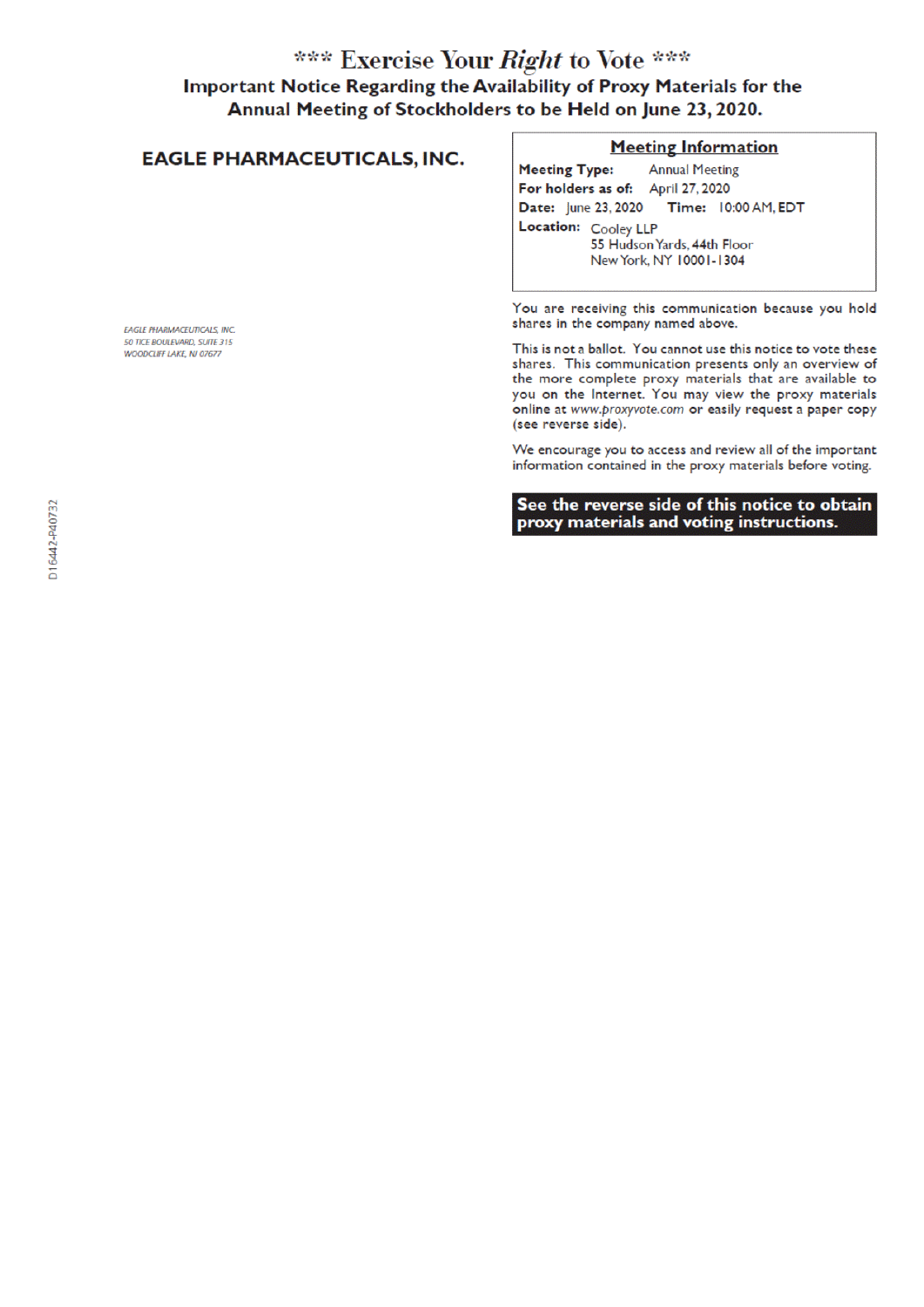## \*\*\* Exercise Your Right to Vote \*\*\* Important Notice Regarding the Availability of Proxy Materials for the Annual Meeting of Stockholders to be Held on June 23, 2020.

## **EAGLE PHARMACEUTICALS, INC.**

### **Meeting Information**

**Meeting Type: Annual Meeting** For holders as of: April 27, 2020 Date: June 23, 2020 Time: 10:00 AM, EDT Location: Cooley LLP 55 Hudson Yards, 44th Floor New York, NY 10001-1304

You are receiving this communication because you hold shares in the company named above.

This is not a ballot. You cannot use this notice to vote these shares. This communication presents only an overview of the more complete proxy materials that are available to you on the Internet. You may view the proxy materials online at www.proxyvote.com or easily request a paper copy (see reverse side).

We encourage you to access and review all of the important information contained in the proxy materials before voting.

See the reverse side of this notice to obtain proxy materials and voting instructions.

**EAGLE PHARMACEUTICALS, INC.** 50 TICE BOULEVARD, SUITE 315 WOODCLIFF LAKE, NJ 07677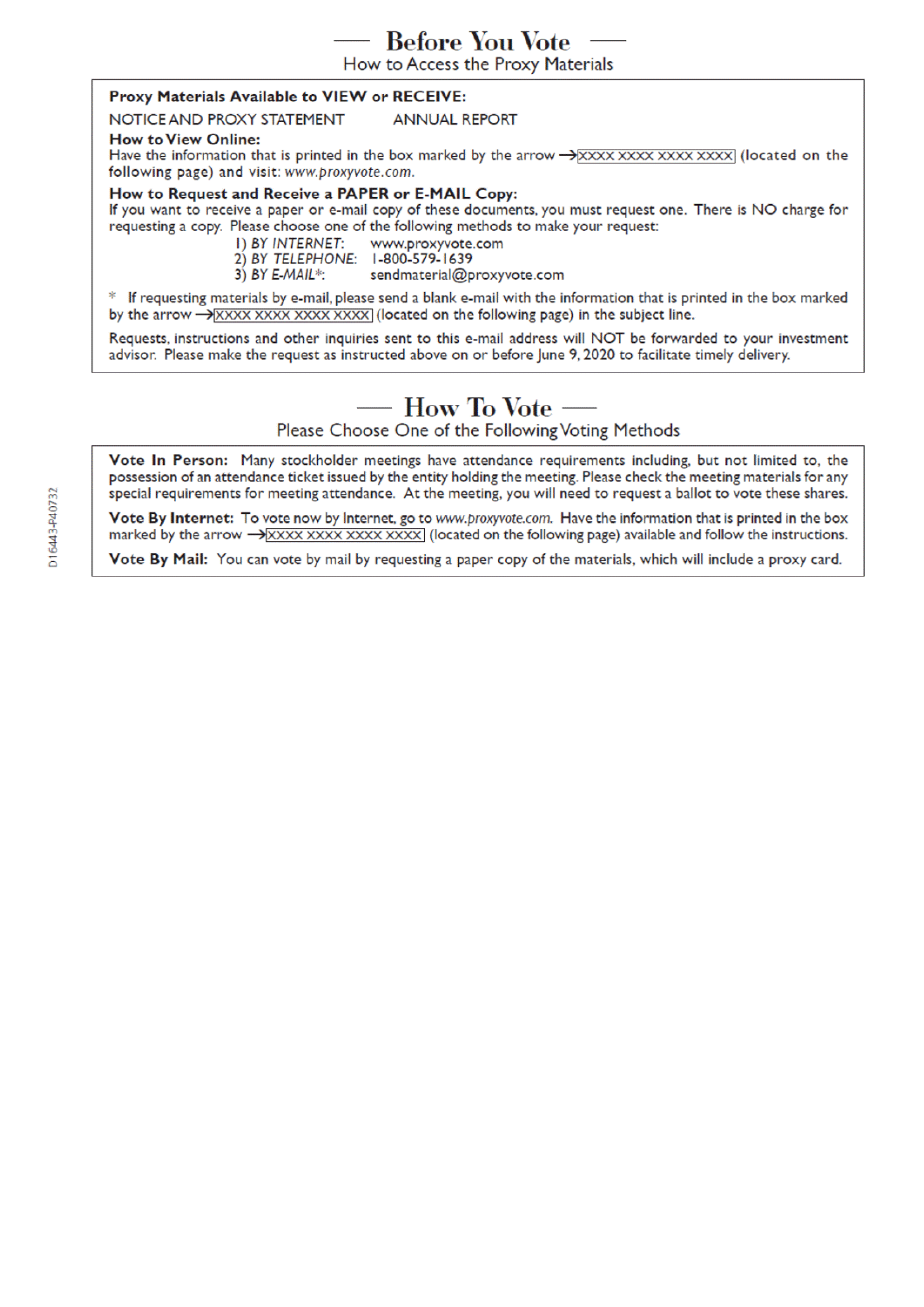**Before You Vote** 

How to Access the Proxy Materials

### Proxy Materials Available to VIEW or RECEIVE:

#### NOTICE AND PROXY STATEMENT **ANNUAL REPORT**

#### **How to View Online:**

Have the information that is printed in the box marked by the arrow  $\rightarrow$  XXXX XXXX XXXX XXXX (located on the following page) and visit: www.proxyvote.com.

#### How to Request and Receive a PAPER or E-MAIL Copy:

If you want to receive a paper or e-mail copy of these documents, you must request one. There is NO charge for requesting a copy. Please choose one of the following methods to make your request:

> I) BY INTERNET: www.proxyvote.com

- 2) BY TELEPHONE: 1-800-579-1639
- $3)$  BY E-MAIL\*: sendmaterial@proxyvote.com

\* If requesting materials by e-mail, please send a blank e-mail with the information that is printed in the box marked by the arrow  $\rightarrow$  XXXX XXXX XXXX XXXX (located on the following page) in the subject line.

Requests, instructions and other inquiries sent to this e-mail address will NOT be forwarded to your investment advisor. Please make the request as instructed above on or before June 9, 2020 to facilitate timely delivery.

## — How To Vote

Please Choose One of the Following Voting Methods

Vote In Person: Many stockholder meetings have attendance requirements including, but not limited to, the possession of an attendance ticket issued by the entity holding the meeting. Please check the meeting materials for any special requirements for meeting attendance. At the meeting, you will need to request a ballot to vote these shares.

Vote By Internet: To vote now by Internet, go to www.proxyvote.com. Have the information that is printed in the box marked by the arrow  $\rightarrow$  XXXX XXXX XXXX XXXX (located on the following page) available and follow the instructions.

Vote By Mail: You can vote by mail by requesting a paper copy of the materials, which will include a proxy card.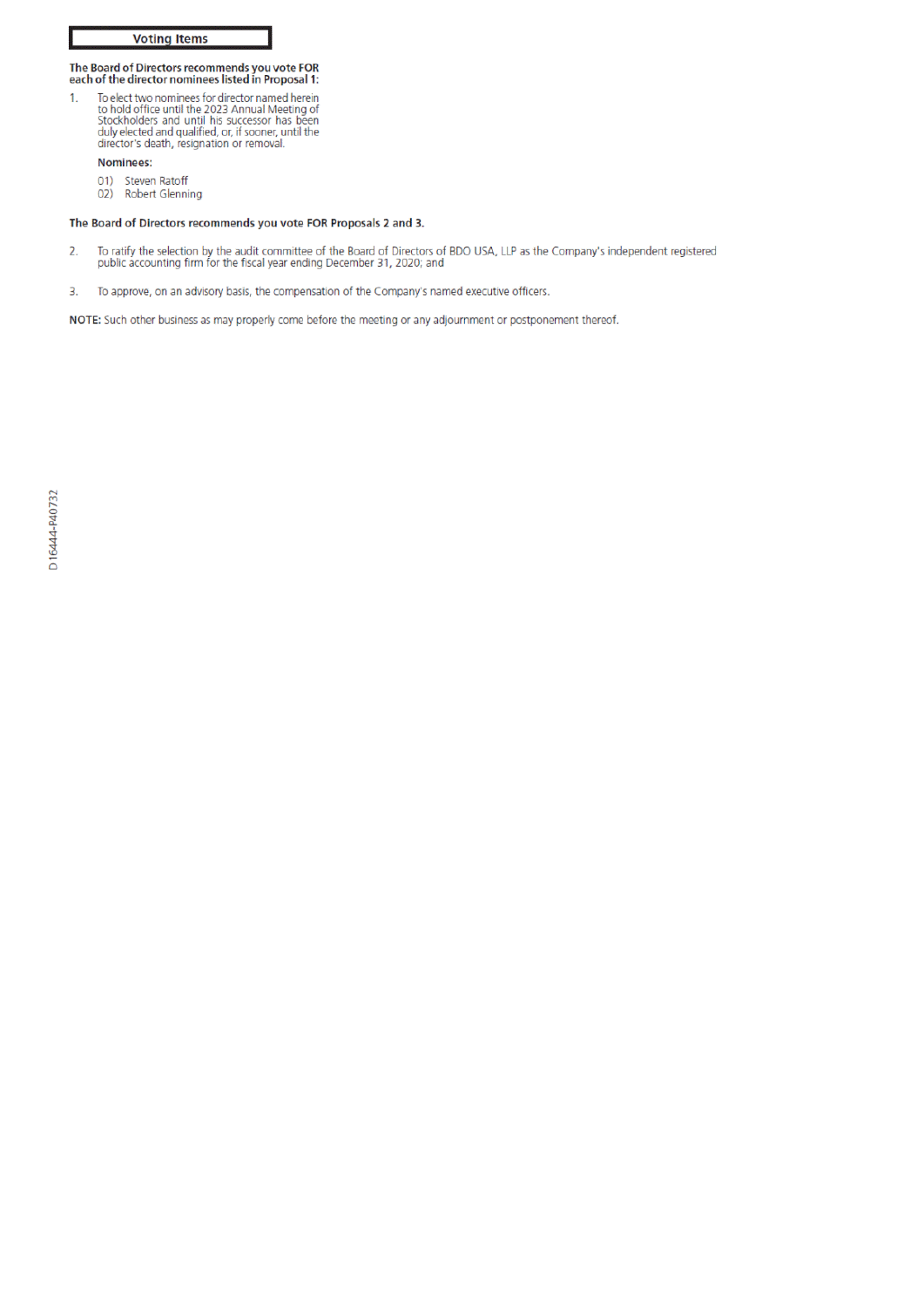# The Board of Directors recommends you vote FOR<br>each of the director nominees listed in Proposal 1:

To elect two nominees for director named herein<br>to hold office until the 2023 Annual Meeting of<br>Stockholders and until his successor has been<br>duly elected and qualified, or, if sooner, until the<br>director's death, resignati  $\overline{1}$ .

#### Nominees:

- 01) Steven Ratoff
- 02) Robert Glenning

#### The Board of Directors recommends you vote FOR Proposals 2 and 3.

- To ratify the selection by the audit committee of the Board of Directors of BDO USA, LLP as the Company's independent registered public accounting firm for the fiscal year ending December 31, 2020; and  $\overline{2}$
- To approve, on an advisory basis, the compensation of the Company's named executive officers. 3.

NOTE: Such other business as may properly come before the meeting or any adjournment or postponement thereof.